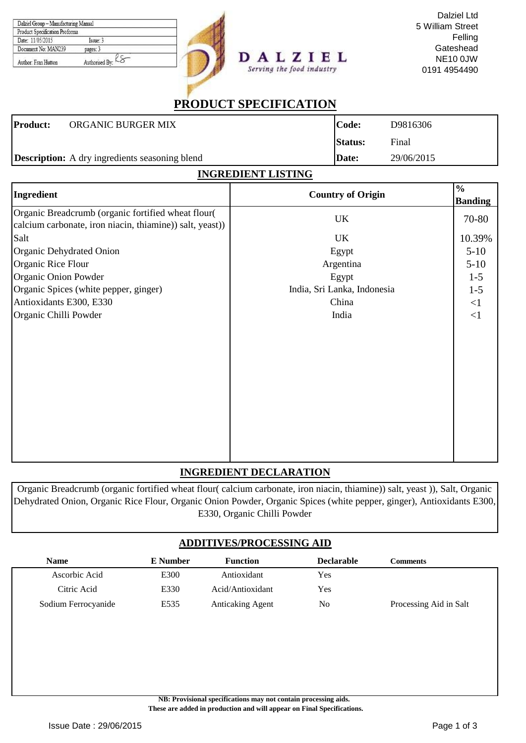| Dalziel Group - Manufacturing Manual<br>Product Specification Proforma |                   |  |
|------------------------------------------------------------------------|-------------------|--|
| Date: 11/05/2015                                                       | $Issue$ 3         |  |
| Document No: MAN239                                                    | pages: 3          |  |
| Author: Fran Hutton                                                    | Authorised By: LO |  |



Dalziel Ltd 5 William Street Felling **Gateshead** NE10 0JW 0191 4954490

# **PRODUCT SPECIFICATION**

Serving the food industry

|                 | <b>Description:</b> A dry ingredients seasoning blend | Date:          | 29/06/2015 |
|-----------------|-------------------------------------------------------|----------------|------------|
|                 |                                                       |                |            |
|                 |                                                       | <b>Status:</b> | Final      |
| <b>Product:</b> | ORGANIC BURGER MIX                                    | lCode:         | D9816306   |

| <u>INGREDIENT LISTING</u>                                                                                      |                             |                                  |  |  |  |
|----------------------------------------------------------------------------------------------------------------|-----------------------------|----------------------------------|--|--|--|
| Ingredient                                                                                                     | <b>Country of Origin</b>    | $\frac{6}{10}$<br><b>Banding</b> |  |  |  |
| Organic Breadcrumb (organic fortified wheat flour(<br>calcium carbonate, iron niacin, thiamine)) salt, yeast)) | UK                          | 70-80                            |  |  |  |
| Salt                                                                                                           | UK                          | 10.39%                           |  |  |  |
| Organic Dehydrated Onion                                                                                       | Egypt                       | $5 - 10$                         |  |  |  |
| Organic Rice Flour                                                                                             | Argentina                   | $5-10$                           |  |  |  |
| Organic Onion Powder                                                                                           | Egypt                       | $1 - 5$                          |  |  |  |
| Organic Spices (white pepper, ginger)                                                                          | India, Sri Lanka, Indonesia | $1 - 5$                          |  |  |  |
| Antioxidants E300, E330                                                                                        | China                       | $\leq$ 1                         |  |  |  |
| Organic Chilli Powder                                                                                          | India                       | $\leq$ 1                         |  |  |  |
|                                                                                                                |                             |                                  |  |  |  |

### **INGREDIENT DECLARATION**

Organic Breadcrumb (organic fortified wheat flour( calcium carbonate, iron niacin, thiamine)) salt, yeast )), Salt, Organic Dehydrated Onion, Organic Rice Flour, Organic Onion Powder, Organic Spices (white pepper, ginger), Antioxidants E300, E330, Organic Chilli Powder

### **ADDITIVES/PROCESSING AID**

| <b>Name</b>         | <b>E</b> Number | <b>Function</b>         | <b>Declarable</b> | <b>Comments</b>        |
|---------------------|-----------------|-------------------------|-------------------|------------------------|
| Ascorbic Acid       | E300            | Antioxidant             | Yes               |                        |
| Citric Acid         | E330            | Acid/Antioxidant        | Yes               |                        |
| Sodium Ferrocyanide | E535            | <b>Anticaking Agent</b> | N <sub>0</sub>    | Processing Aid in Salt |

**NB: Provisional specifications may not contain processing aids.** 

 **These are added in production and will appear on Final Specifications.**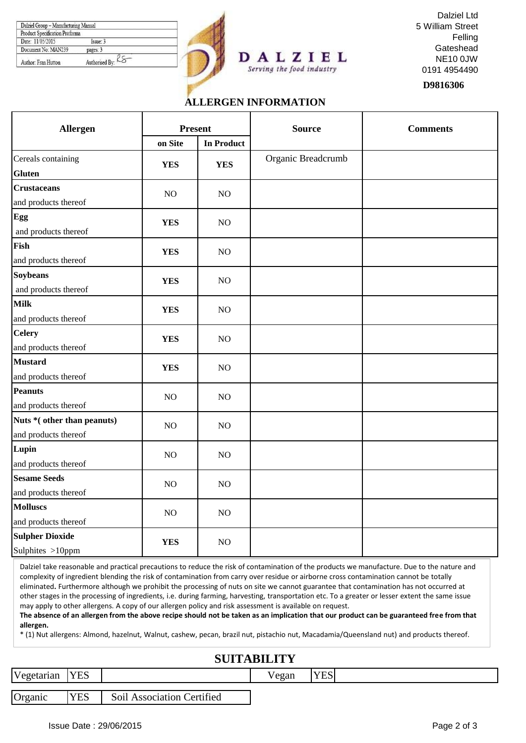| Dalziel Group - Manufacturing Manual |                       |  |
|--------------------------------------|-----------------------|--|
| Product Specification Proforma       |                       |  |
| Date: 11/05/2015                     | I <sub>ssue</sub> : 3 |  |
| Document No: MAN239                  | pages: 3              |  |
| Author: Fran Hutton                  | Authorised By: LC     |  |





**D9816306**

### **ALLERGEN INFORMATION**

Serving the food industry

| Allergen                                           | <b>Present</b> |                   | <b>Source</b>      | <b>Comments</b> |  |
|----------------------------------------------------|----------------|-------------------|--------------------|-----------------|--|
|                                                    | on Site        | <b>In Product</b> |                    |                 |  |
| Cereals containing<br><b>Gluten</b>                | <b>YES</b>     | <b>YES</b>        | Organic Breadcrumb |                 |  |
| <b>Crustaceans</b><br>and products thereof         | NO             | NO                |                    |                 |  |
| Egg<br>and products thereof                        | <b>YES</b>     | NO                |                    |                 |  |
| Fish<br>and products thereof                       | <b>YES</b>     | NO                |                    |                 |  |
| <b>Soybeans</b><br>and products thereof            | <b>YES</b>     | NO                |                    |                 |  |
| <b>Milk</b><br>and products thereof                | <b>YES</b>     | NO                |                    |                 |  |
| <b>Celery</b><br>and products thereof              | <b>YES</b>     | NO                |                    |                 |  |
| <b>Mustard</b><br>and products thereof             | <b>YES</b>     | NO                |                    |                 |  |
| <b>Peanuts</b><br>and products thereof             | NO             | NO                |                    |                 |  |
| Nuts *(other than peanuts)<br>and products thereof | NO             | NO                |                    |                 |  |
| Lupin<br>and products thereof                      | NO             | NO                |                    |                 |  |
| <b>Sesame Seeds</b><br>and products thereof        | NO             | NO                |                    |                 |  |
| <b>Molluscs</b><br>and products thereof            | NO             | NO                |                    |                 |  |
| <b>Sulpher Dioxide</b><br>Sulphites >10ppm         | <b>YES</b>     | NO                |                    |                 |  |

Dalziel take reasonable and practical precautions to reduce the risk of contamination of the products we manufacture. Due to the nature and complexity of ingredient blending the risk of contamination from carry over residue or airborne cross contamination cannot be totally eliminated**.** Furthermore although we prohibit the processing of nuts on site we cannot guarantee that contamination has not occurred at other stages in the processing of ingredients, i.e. during farming, harvesting, transportation etc. To a greater or lesser extent the same issue may apply to other allergens. A copy of our allergen policy and risk assessment is available on request.

**The absence of an allergen from the above recipe should not be taken as an implication that our product can be guaranteed free from that allergen.**

\* (1) Nut allergens: Almond, hazelnut, Walnut, cashew, pecan, brazil nut, pistachio nut, Macadamia/Queensland nut) and products thereof.

# **SUITABILITY**

|            |            |                            | ------------ |            |  |
|------------|------------|----------------------------|--------------|------------|--|
| Vegetarian | <b>YES</b> |                            | 'egan        | <b>YES</b> |  |
|            |            |                            |              |            |  |
| Organic    | <b>YES</b> | Soil Association Certified |              |            |  |